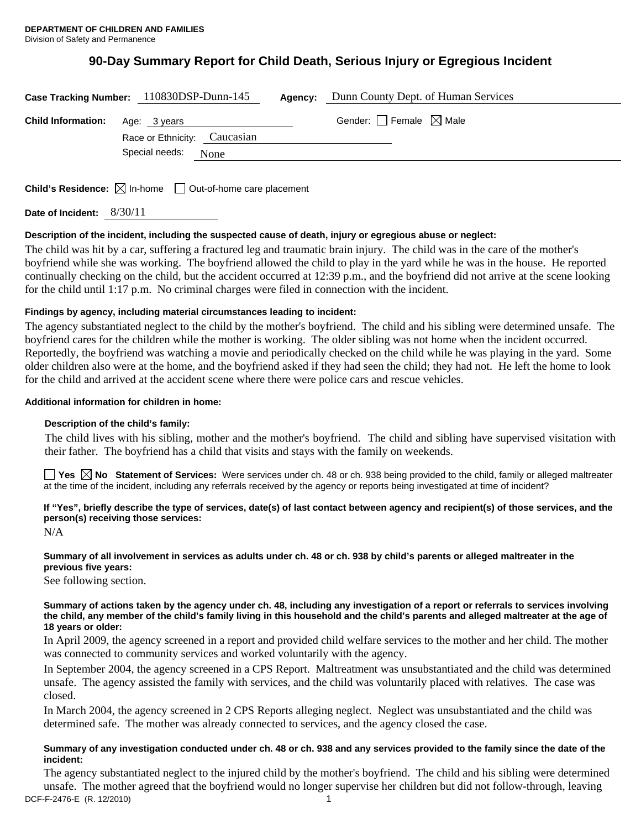# **90-Day Summary Report for Child Death, Serious Injury or Egregious Incident**

|                           | Case Tracking Number: 110830DSP-Dunn-145     | Agency: | Dunn County Dept. of Human Services |
|---------------------------|----------------------------------------------|---------|-------------------------------------|
| <b>Child Information:</b> | Age: 3 years<br>Race or Ethnicity: Caucasian |         | Gender: Female $\boxtimes$ Male     |
|                           | Special needs:<br>None                       |         |                                     |
|                           |                                              |         |                                     |

**Child's Residence:**  $\boxtimes$  In-home  $\Box$  Out-of-home care placement

**Date of Incident:** 8/30/11

#### **Description of the incident, including the suspected cause of death, injury or egregious abuse or neglect:**

The child was hit by a car, suffering a fractured leg and traumatic brain injury. The child was in the care of the mother's boyfriend while she was working. The boyfriend allowed the child to play in the yard while he was in the house. He reported continually checking on the child, but the accident occurred at 12:39 p.m., and the boyfriend did not arrive at the scene looking for the child until 1:17 p.m. No criminal charges were filed in connection with the incident.

# **Findings by agency, including material circumstances leading to incident:**

The agency substantiated neglect to the child by the mother's boyfriend. The child and his sibling were determined unsafe. The boyfriend cares for the children while the mother is working. The older sibling was not home when the incident occurred. Reportedly, the boyfriend was watching a movie and periodically checked on the child while he was playing in the yard. Some older children also were at the home, and the boyfriend asked if they had seen the child; they had not. He left the home to look for the child and arrived at the accident scene where there were police cars and rescue vehicles.

#### **Additional information for children in home:**

# **Description of the child's family:**

The child lives with his sibling, mother and the mother's boyfriend. The child and sibling have supervised visitation with their father. The boyfriend has a child that visits and stays with the family on weekends.

**Yes No Statement of Services:** Were services under ch. 48 or ch. 938 being provided to the child, family or alleged maltreater at the time of the incident, including any referrals received by the agency or reports being investigated at time of incident?

# **If "Yes", briefly describe the type of services, date(s) of last contact between agency and recipient(s) of those services, and the person(s) receiving those services:**

N/A

# **Summary of all involvement in services as adults under ch. 48 or ch. 938 by child's parents or alleged maltreater in the previous five years:**

See following section.

#### **Summary of actions taken by the agency under ch. 48, including any investigation of a report or referrals to services involving the child, any member of the child's family living in this household and the child's parents and alleged maltreater at the age of 18 years or older:**

In April 2009, the agency screened in a report and provided child welfare services to the mother and her child. The mother was connected to community services and worked voluntarily with the agency.

In September 2004, the agency screened in a CPS Report. Maltreatment was unsubstantiated and the child was determined unsafe. The agency assisted the family with services, and the child was voluntarily placed with relatives. The case was closed.

In March 2004, the agency screened in 2 CPS Reports alleging neglect. Neglect was unsubstantiated and the child was determined safe. The mother was already connected to services, and the agency closed the case.

# **Summary of any investigation conducted under ch. 48 or ch. 938 and any services provided to the family since the date of the incident:**

DCF-F-2476-E (R. 12/2010) 1 The agency substantiated neglect to the injured child by the mother's boyfriend. The child and his sibling were determined unsafe. The mother agreed that the boyfriend would no longer supervise her children but did not follow-through, leaving